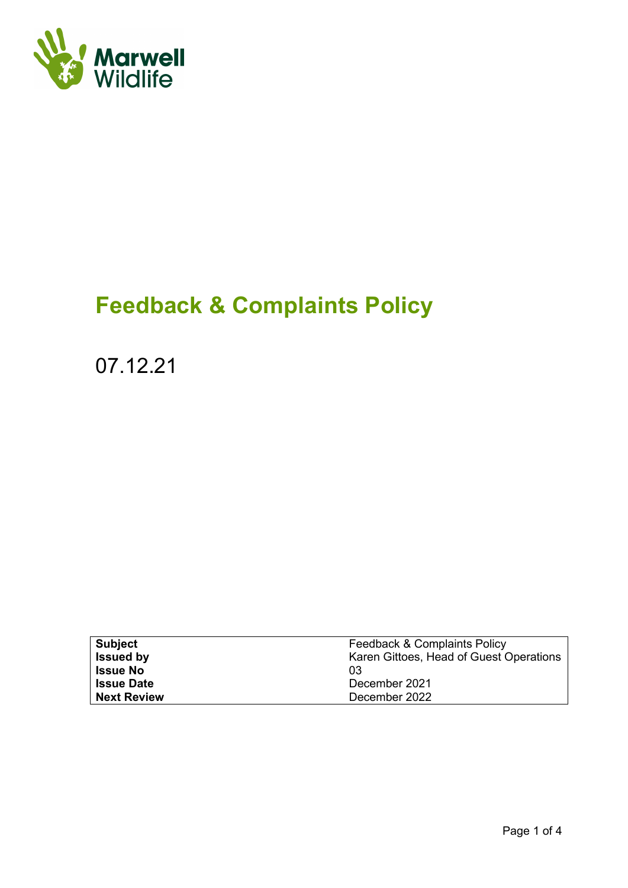

# **Feedback & Complaints Policy**

07.12.21

| <b>Subject</b>     | Feedback & Complaints Policy            |
|--------------------|-----------------------------------------|
| <b>Issued by</b>   | Karen Gittoes, Head of Guest Operations |
| <b>Issue No</b>    | 03                                      |
| <b>Issue Date</b>  | December 2021                           |
| <b>Next Review</b> | December 2022                           |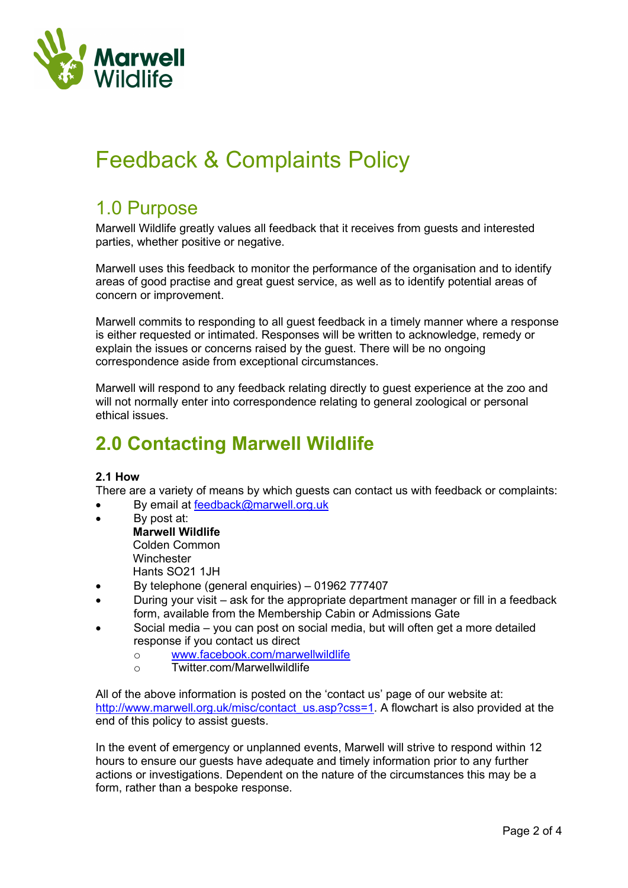

## Feedback & Complaints Policy

### 1.0 Purpose

Marwell Wildlife greatly values all feedback that it receives from guests and interested parties, whether positive or negative.

Marwell uses this feedback to monitor the performance of the organisation and to identify areas of good practise and great guest service, as well as to identify potential areas of concern or improvement.

Marwell commits to responding to all guest feedback in a timely manner where a response is either requested or intimated. Responses will be written to acknowledge, remedy or explain the issues or concerns raised by the guest. There will be no ongoing correspondence aside from exceptional circumstances.

Marwell will respond to any feedback relating directly to guest experience at the zoo and will not normally enter into correspondence relating to general zoological or personal ethical issues.

### **2.0 Contacting Marwell Wildlife**

#### **2.1 How**

There are a variety of means by which guests can contact us with feedback or complaints:

- By email at [feedback@marwell.org.uk](mailto:feedback@marwell.org.uk)
- By post at:
- **Marwell Wildlife** Colden Common **Winchester** Hants SO21 1JH
- By telephone (general enquiries) 01962 777407
- During your visit ask for the appropriate department manager or fill in a feedback form, available from the Membership Cabin or Admissions Gate
- Social media you can post on social media, but will often get a more detailed response if you contact us direct
	- o [www.facebook.com/marwellwildlife](http://www.facebook.com/marwellwildlife)<br>o Twitter.com/Marwellwildlife
	- Twitter.com/Marwellwildlife

All of the above information is posted on the 'contact us' page of our website at: [http://www.marwell.org.uk/misc/contact\\_us.asp?css=1.](http://www.marwell.org.uk/misc/contact_us.asp?css=1) A flowchart is also provided at the end of this policy to assist guests.

In the event of emergency or unplanned events, Marwell will strive to respond within 12 hours to ensure our guests have adequate and timely information prior to any further actions or investigations. Dependent on the nature of the circumstances this may be a form, rather than a bespoke response.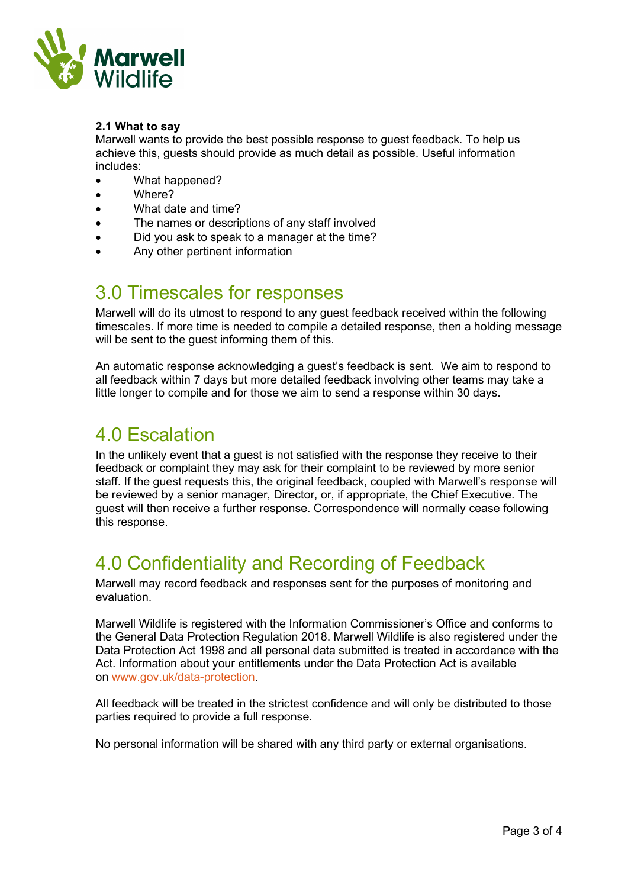

#### **2.1 What to say**

Marwell wants to provide the best possible response to guest feedback. To help us achieve this, guests should provide as much detail as possible. Useful information includes:

- What happened?
- Where?
- What date and time?
- The names or descriptions of any staff involved
- Did you ask to speak to a manager at the time?
- Any other pertinent information

### 3.0 Timescales for responses

Marwell will do its utmost to respond to any guest feedback received within the following timescales. If more time is needed to compile a detailed response, then a holding message will be sent to the guest informing them of this.

An automatic response acknowledging a guest's feedback is sent. We aim to respond to all feedback within 7 days but more detailed feedback involving other teams may take a little longer to compile and for those we aim to send a response within 30 days.

### 4.0 Escalation

In the unlikely event that a guest is not satisfied with the response they receive to their feedback or complaint they may ask for their complaint to be reviewed by more senior staff. If the guest requests this, the original feedback, coupled with Marwell's response will be reviewed by a senior manager, Director, or, if appropriate, the Chief Executive. The guest will then receive a further response. Correspondence will normally cease following this response.

### 4.0 Confidentiality and Recording of Feedback

Marwell may record feedback and responses sent for the purposes of monitoring and evaluation.

Marwell Wildlife is registered with the Information Commissioner's Office and conforms to the General Data Protection Regulation 2018. Marwell Wildlife is also registered under the Data Protection Act 1998 and all personal data submitted is treated in accordance with the Act. Information about your entitlements under the Data Protection Act is available on [www.gov.uk/data-protection.](https://www.gov.uk/data-protection)

All feedback will be treated in the strictest confidence and will only be distributed to those parties required to provide a full response.

No personal information will be shared with any third party or external organisations.